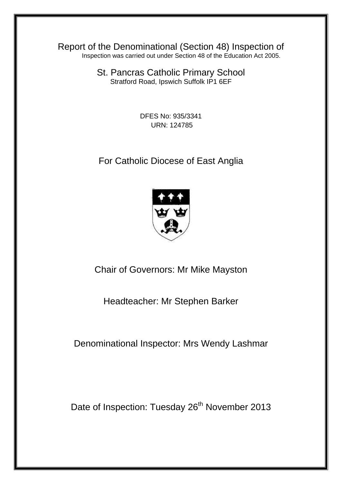Report of the Denominational (Section 48) Inspection of Inspection was carried out under Section 48 of the Education Act 2005.

> St. Pancras Catholic Primary School Stratford Road, Ipswich Suffolk IP1 6EF

> > DFES No: 935/3341 URN: 124785

For Catholic Diocese of East Anglia



Chair of Governors: Mr Mike Mayston

Headteacher: Mr Stephen Barker

Denominational Inspector: Mrs Wendy Lashmar

Date of Inspection: Tuesday 26<sup>th</sup> November 2013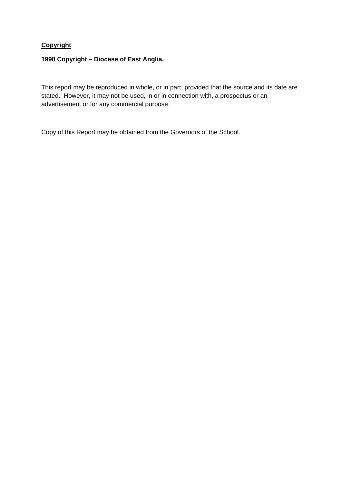# **Copyright**

### **1998 Copyright – Diocese of East Anglia.**

This report may be reproduced in whole, or in part, provided that the source and its date are stated. However, it may not be used, in or in connection with, a prospectus or an advertisement or for any commercial purpose.

Copy of this Report may be obtained from the Governors of the School.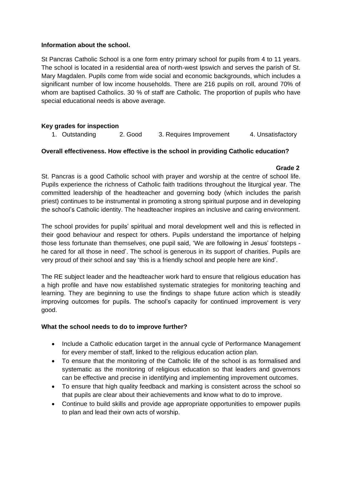#### **Information about the school.**

St Pancras Catholic School is a one form entry primary school for pupils from 4 to 11 years. The school is located in a residential area of north-west Ipswich and serves the parish of St. Mary Magdalen. Pupils come from wide social and economic backgrounds, which includes a significant number of low income households. There are 216 pupils on roll, around 70% of whom are baptised Catholics. 30 % of staff are Catholic. The proportion of pupils who have special educational needs is above average.

# **Key grades for inspection**

|  | 1. Outstanding | 2. Good | 3. Requires Improvement | 4. Unsatisfactory |
|--|----------------|---------|-------------------------|-------------------|
|--|----------------|---------|-------------------------|-------------------|

### **Overall effectiveness. How effective is the school in providing Catholic education?**

#### **Grade 2**

St. Pancras is a good Catholic school with prayer and worship at the centre of school life. Pupils experience the richness of Catholic faith traditions throughout the liturgical year. The committed leadership of the headteacher and governing body (which includes the parish priest) continues to be instrumental in promoting a strong spiritual purpose and in developing the school's Catholic identity. The headteacher inspires an inclusive and caring environment.

The school provides for pupils' spiritual and moral development well and this is reflected in their good behaviour and respect for others. Pupils understand the importance of helping those less fortunate than themselves, one pupil said, 'We are following in Jesus' footsteps he cared for all those in need'. The school is generous in its support of charities. Pupils are very proud of their school and say 'this is a friendly school and people here are kind'.

The RE subject leader and the headteacher work hard to ensure that religious education has a high profile and have now established systematic strategies for monitoring teaching and learning. They are beginning to use the findings to shape future action which is steadily improving outcomes for pupils. The school's capacity for continued improvement is very good.

### **What the school needs to do to improve further?**

- Include a Catholic education target in the annual cycle of Performance Management for every member of staff, linked to the religious education action plan.
- To ensure that the monitoring of the Catholic life of the school is as formalised and systematic as the monitoring of religious education so that leaders and governors can be effective and precise in identifying and implementing improvement outcomes.
- To ensure that high quality feedback and marking is consistent across the school so that pupils are clear about their achievements and know what to do to improve.
- Continue to build skills and provide age appropriate opportunities to empower pupils to plan and lead their own acts of worship.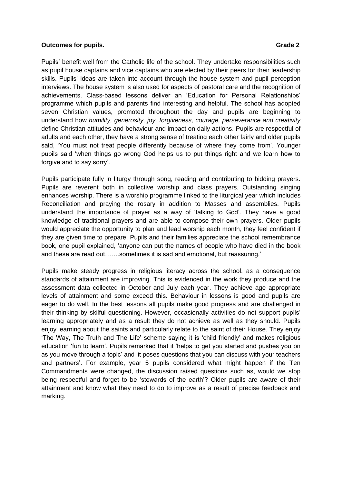#### **Outcomes for pupils. Grade 2 Grade 2 Grade 2 Grade 2**

Pupils' benefit well from the Catholic life of the school. They undertake responsibilities such as pupil house captains and vice captains who are elected by their peers for their leadership skills. Pupils' ideas are taken into account through the house system and pupil perception interviews. The house system is also used for aspects of pastoral care and the recognition of achievements. Class-based lessons deliver an 'Education for Personal Relationships' programme which pupils and parents find interesting and helpful. The school has adopted seven Christian values, promoted throughout the day and pupils are beginning to understand how *humility, generosity, joy, forgiveness, courage, perseverance and creativity*  define Christian attitudes and behaviour and impact on daily actions. Pupils are respectful of adults and each other, they have a strong sense of treating each other fairly and older pupils said, 'You must not treat people differently because of where they come from'. Younger pupils said 'when things go wrong God helps us to put things right and we learn how to forgive and to say sorry'.

Pupils participate fully in liturgy through song, reading and contributing to bidding prayers. Pupils are reverent both in collective worship and class prayers. Outstanding singing enhances worship. There is a worship programme linked to the liturgical year which includes Reconciliation and praying the rosary in addition to Masses and assemblies. Pupils understand the importance of prayer as a way of 'talking to God'. They have a good knowledge of traditional prayers and are able to compose their own prayers. Older pupils would appreciate the opportunity to plan and lead worship each month, they feel confident if they are given time to prepare. Pupils and their families appreciate the school remembrance book, one pupil explained, 'anyone can put the names of people who have died in the book and these are read out…….sometimes it is sad and emotional, but reassuring.'

Pupils make steady progress in religious literacy across the school, as a consequence standards of attainment are improving. This is evidenced in the work they produce and the assessment data collected in October and July each year. They achieve age appropriate levels of attainment and some exceed this. Behaviour in lessons is good and pupils are eager to do well. In the best lessons all pupils make good progress and are challenged in their thinking by skilful questioning. However, occasionally activities do not support pupils' learning appropriately and as a result they do not achieve as well as they should. Pupils enjoy learning about the saints and particularly relate to the saint of their House. They enjoy 'The Way, The Truth and The Life' scheme saying it is 'child friendly' and makes religious education 'fun to learn'. Pupils remarked that it 'helps to get you started and pushes you on as you move through a topic' and 'it poses questions that you can discuss with your teachers and partners'. For example, year 5 pupils considered what might happen if the Ten Commandments were changed, the discussion raised questions such as, would we stop being respectful and forget to be 'stewards of the earth'? Older pupils are aware of their attainment and know what they need to do to improve as a result of precise feedback and marking.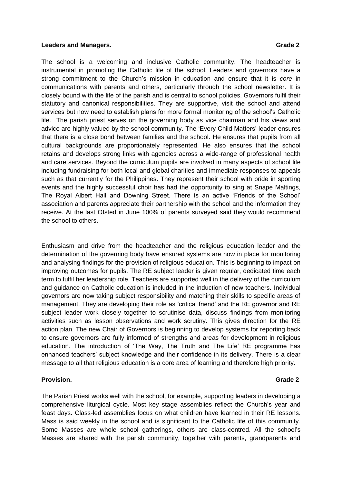#### **Leaders and Managers.** Grade 2 and Series and Managers.

The school is a welcoming and inclusive Catholic community. The headteacher is instrumental in promoting the Catholic life of the school. Leaders and governors have a strong commitment to the Church's mission in education and ensure that it is *core* in communications with parents and others, particularly through the school newsletter. It is closely bound with the life of the parish and is central to school policies. Governors fulfil their statutory and canonical responsibilities. They are supportive, visit the school and attend services but now need to establish plans for more formal monitoring of the school's Catholic life. The parish priest serves on the governing body as vice chairman and his views and advice are highly valued by the school community. The 'Every Child Matters' leader ensures that there is a close bond between families and the school. He ensures that pupils from all cultural backgrounds are proportionately represented. He also ensures that the school retains and develops strong links with agencies across a wide-range of professional health and care services. Beyond the curriculum pupils are involved in many aspects of school life including fundraising for both local and global charities and immediate responses to appeals such as that currently for the Philippines. They represent their school with pride in sporting events and the highly successful choir has had the opportunity to sing at Snape Maltings, The Royal Albert Hall and Downing Street. There is an active 'Friends of the School' association and parents appreciate their partnership with the school and the information they receive. At the last Ofsted in June 100% of parents surveyed said they would recommend the school to others.

Enthusiasm and drive from the headteacher and the religious education leader and the determination of the governing body have ensured systems are now in place for monitoring and analysing findings for the provision of religious education. This is beginning to impact on improving outcomes for pupils. The RE subject leader is given regular, dedicated time each term to fulfil her leadership role. Teachers are supported well in the delivery of the curriculum and guidance on Catholic education is included in the induction of new teachers. Individual governors are now taking subject responsibility and matching their skills to specific areas of management. They are developing their role as 'critical friend' and the RE governor and RE subject leader work closely together to scrutinise data, discuss findings from monitoring activities such as lesson observations and work scrutiny. This gives direction for the RE action plan. The new Chair of Governors is beginning to develop systems for reporting back to ensure governors are fully informed of strengths and areas for development in religious education. The introduction of 'The Way, The Truth and The Life' RE programme has enhanced teachers' subject knowledge and their confidence in its delivery. There is a clear message to all that religious education is a core area of learning and therefore high priority.

#### **Provision. Grade 2**

The Parish Priest works well with the school, for example, supporting leaders in developing a comprehensive liturgical cycle. Most key stage assemblies reflect the Church's year and feast days. Class-led assemblies focus on what children have learned in their RE lessons. Mass is said weekly in the school and is significant to the Catholic life of this community. Some Masses are whole school gatherings, others are class-centred. All the school's Masses are shared with the parish community, together with parents, grandparents and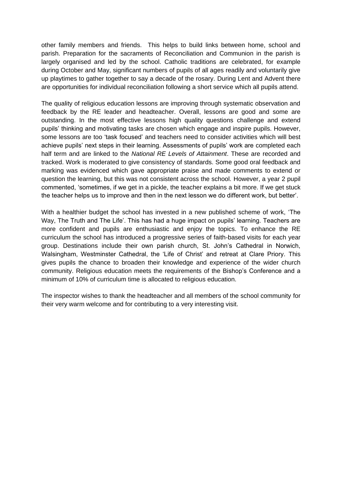other family members and friends. This helps to build links between home, school and parish. Preparation for the sacraments of Reconciliation and Communion in the parish is largely organised and led by the school. Catholic traditions are celebrated, for example during October and May, significant numbers of pupils of all ages readily and voluntarily give up playtimes to gather together to say a decade of the rosary. During Lent and Advent there are opportunities for individual reconciliation following a short service which all pupils attend.

The quality of religious education lessons are improving through systematic observation and feedback by the RE leader and headteacher. Overall, lessons are good and some are outstanding. In the most effective lessons high quality questions challenge and extend pupils' thinking and motivating tasks are chosen which engage and inspire pupils. However, some lessons are too 'task focused' and teachers need to consider activities which will best achieve pupils' next steps in their learning. Assessments of pupils' work are completed each half term and are linked to the *National RE Levels of Attainment*. These are recorded and tracked. Work is moderated to give consistency of standards. Some good oral feedback and marking was evidenced which gave appropriate praise and made comments to extend or question the learning, but this was not consistent across the school. However, a year 2 pupil commented, 'sometimes, if we get in a pickle, the teacher explains a bit more. If we get stuck the teacher helps us to improve and then in the next lesson we do different work, but better'.

With a healthier budget the school has invested in a new published scheme of work, 'The Way, The Truth and The Life'. This has had a huge impact on pupils' learning. Teachers are more confident and pupils are enthusiastic and enjoy the topics. To enhance the RE curriculum the school has introduced a progressive series of faith-based visits for each year group. Destinations include their own parish church, St. John's Cathedral in Norwich, Walsingham, Westminster Cathedral, the 'Life of Christ' and retreat at Clare Priory. This gives pupils the chance to broaden their knowledge and experience of the wider church community. Religious education meets the requirements of the Bishop's Conference and a minimum of 10% of curriculum time is allocated to religious education.

The inspector wishes to thank the headteacher and all members of the school community for their very warm welcome and for contributing to a very interesting visit.